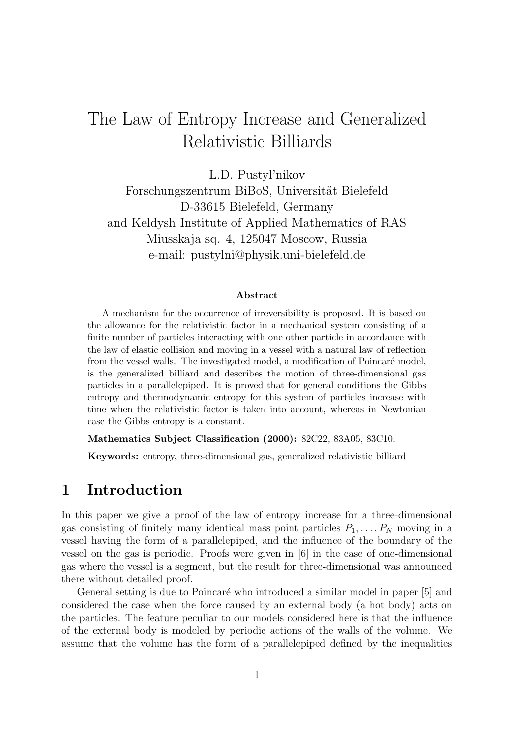# The Law of Entropy Increase and Generalized Relativistic Billiards

L.D. Pustyl'nikov Forschungszentrum BiBoS, Universität Bielefeld D-33615 Bielefeld, Germany and Keldysh Institute of Applied Mathematics of RAS Miusskaja sq. 4, 125047 Moscow, Russia e-mail: pustylni@physik.uni-bielefeld.de

#### **Abstract**

A mechanism for the occurrence of irreversibility is proposed. It is based on the allowance for the relativistic factor in a mechanical system consisting of a finite number of particles interacting with one other particle in accordance with the law of elastic collision and moving in a vessel with a natural law of reflection from the vessel walls. The investigated model, a modification of Poincaré model, is the generalized billiard and describes the motion of three-dimensional gas particles in a parallelepiped. It is proved that for general conditions the Gibbs entropy and thermodynamic entropy for this system of particles increase with time when the relativistic factor is taken into account, whereas in Newtonian case the Gibbs entropy is a constant.

**Mathematics Subject Classification (2000):** 82C22, 83A05, 83C10.

**Keywords:** entropy, three-dimensional gas, generalized relativistic billiard

#### **1 Introduction**

In this paper we give a proof of the law of entropy increase for a three-dimensional gas consisting of finitely many identical mass point particles  $P_1, \ldots, P_N$  moving in a vessel having the form of a parallelepiped, and the influence of the boundary of the vessel on the gas is periodic. Proofs were given in [6] in the case of one-dimensional gas where the vessel is a segment, but the result for three-dimensional was announced there without detailed proof.

General setting is due to Poincaré who introduced a similar model in paper [5] and considered the case when the force caused by an external body (a hot body) acts on the particles. The feature peculiar to our models considered here is that the influence of the external body is modeled by periodic actions of the walls of the volume. We assume that the volume has the form of a parallelepiped defined by the inequalities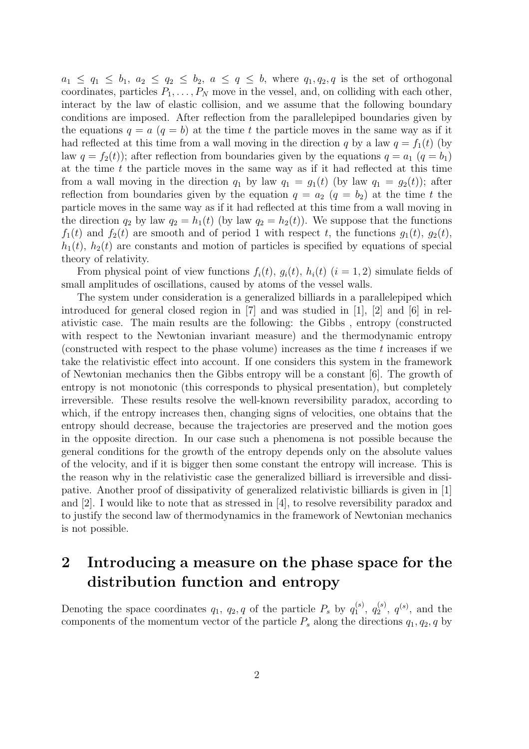$a_1 \leq q_1 \leq b_1, a_2 \leq q_2 \leq b_2, a \leq q \leq b$ , where  $q_1, q_2, q$  is the set of orthogonal coordinates, particles  $P_1, \ldots, P_N$  move in the vessel, and, on colliding with each other, interact by the law of elastic collision, and we assume that the following boundary conditions are imposed. After reflection from the parallelepiped boundaries given by the equations  $q = a$   $(q = b)$  at the time t the particle moves in the same way as if it had reflected at this time from a wall moving in the direction q by a law  $q = f_1(t)$  (by law  $q = f_2(t)$ ; after reflection from boundaries given by the equations  $q = a_1$   $(q = b_1)$ at the time  $t$  the particle moves in the same way as if it had reflected at this time from a wall moving in the direction  $q_1$  by law  $q_1 = g_1(t)$  (by law  $q_1 = g_2(t)$ ); after reflection from boundaries given by the equation  $q = a_2$   $(q = b_2)$  at the time t the particle moves in the same way as if it had reflected at this time from a wall moving in the direction  $q_2$  by law  $q_2 = h_1(t)$  (by law  $q_2 = h_2(t)$ ). We suppose that the functions  $f_1(t)$  and  $f_2(t)$  are smooth and of period 1 with respect t, the functions  $g_1(t)$ ,  $g_2(t)$ ,  $h_1(t)$ ,  $h_2(t)$  are constants and motion of particles is specified by equations of special theory of relativity.

From physical point of view functions  $f_i(t)$ ,  $g_i(t)$ ,  $h_i(t)$  ( $i = 1, 2$ ) simulate fields of small amplitudes of oscillations, caused by atoms of the vessel walls.

The system under consideration is a generalized billiards in a parallelepiped which introduced for general closed region in [7] and was studied in [1], [2] and [6] in relativistic case. The main results are the following: the Gibbs , entropy (constructed with respect to the Newtonian invariant measure) and the thermodynamic entropy (constructed with respect to the phase volume) increases as the time  $t$  increases if we take the relativistic effect into account. If one considers this system in the framework of Newtonian mechanics then the Gibbs entropy will be a constant [6]. The growth of entropy is not monotonic (this corresponds to physical presentation), but completely irreversible. These results resolve the well-known reversibility paradox, according to which, if the entropy increases then, changing signs of velocities, one obtains that the entropy should decrease, because the trajectories are preserved and the motion goes in the opposite direction. In our case such a phenomena is not possible because the general conditions for the growth of the entropy depends only on the absolute values of the velocity, and if it is bigger then some constant the entropy will increase. This is the reason why in the relativistic case the generalized billiard is irreversible and dissipative. Another proof of dissipativity of generalized relativistic billiards is given in [1] and [2]. I would like to note that as stressed in [4], to resolve reversibility paradox and to justify the second law of thermodynamics in the framework of Newtonian mechanics is not possible.

### **2 Introducing a measure on the phase space for the distribution function and entropy**

Denoting the space coordinates  $q_1, q_2, q$  of the particle  $P_s$  by  $q_1^{(s)}, q_2^{(s)}, q^{(s)}$ , and the components of the momentum vector of the particle  $P_s$  along the directions  $q_1, q_2, q$  by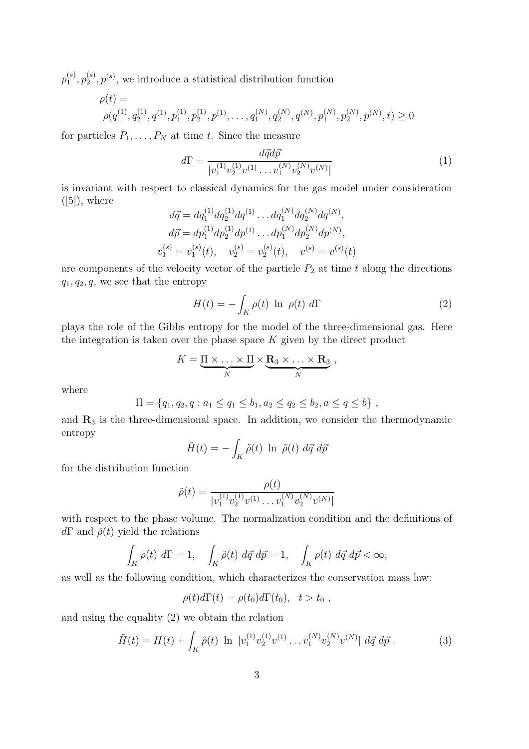$p_1^{(s)}, p_2^{(s)}, p^{(s)}$ , we introduce a statistical distribution function

$$
\rho(t) = \rho(q_1^{(1)}, q_2^{(1)}, q^{(1)}, p_1^{(1)}, p_2^{(1)}, p^{(1)}, \dots, q_1^{(N)}, q_2^{(N)}, q^{(N)}, p_1^{(N)}, p_2^{(N)}, p^{(N)}, t) \ge 0
$$

for particles  $P_1, \ldots, P_N$  at time t. Since the measure

$$
d\Gamma = \frac{d\vec{q}d\vec{p}}{|v_1^{(1)}v_2^{(1)}v_1^{(1)}\dots v_1^{(N)}v_2^{(N)}v_1^{(N)}|}
$$
(1)

is invariant with respect to classical dynamics for the gas model under consideration  $([5])$ , where

$$
d\vec{q} = dq_1^{(1)} dq_2^{(1)} dq_1^{(1)} \dots dq_1^{(N)} dq_2^{(N)} dq_2^{(N)},
$$
  
\n
$$
d\vec{p} = dp_1^{(1)} dp_2^{(1)} dp_1^{(1)} \dots dp_1^{(N)} dp_2^{(N)} dp_2^{(N)},
$$
  
\n
$$
v_1^{(s)} = v_1^{(s)}(t), \quad v_2^{(s)} = v_2^{(s)}(t), \quad v_3^{(s)} = v_2^{(s)}(t)
$$

are components of the velocity vector of the particle  $P_2$  at time t along the directions  $q_1, q_2, q$ , we see that the entropy

$$
H(t) = -\int_{K} \rho(t) \ln \rho(t) d\Gamma
$$
 (2)

plays the role of the Gibbs entropy for the model of the three-dimensional gas. Here the integration is taken over the phase space  $K$  given by the direct product

$$
K = \underbrace{\Pi \times \ldots \times \Pi}_{N} \times \underbrace{\mathbf{R}_3 \times \ldots \times \mathbf{R}_3}_{N},
$$

where

$$
\Pi = \{q_1, q_2, q : a_1 \le q_1 \le b_1, a_2 \le q_2 \le b_2, a \le q \le b\},\,
$$

and  $\mathbf{R}_3$  is the three-dimensional space. In addition, we consider the thermodynamic entropy

$$
\tilde{H}(t) = -\int_K \tilde{\rho}(t) \ln \tilde{\rho}(t) d\vec{q} d\vec{p}
$$

for the distribution function

$$
\tilde{\rho}(t) = \frac{\rho(t)}{|v_1^{(1)}v_2^{(1)}v_1^{(1)}\dots v_1^{(N)}v_2^{(N)}v_1^{(N)}|}
$$

with respect to the phase volume. The normalization condition and the definitions of  $d\Gamma$  and  $\tilde{\rho}(t)$  yield the relations

$$
\int_K \rho(t) d\Gamma = 1, \quad \int_K \tilde{\rho}(t) d\vec{q} d\vec{p} = 1, \quad \int_K \rho(t) d\vec{q} d\vec{p} < \infty,
$$

as well as the following condition, which characterizes the conservation mass law:

$$
\rho(t)d\Gamma(t) = \rho(t_0)d\Gamma(t_0), \quad t > t_0,
$$

and using the equality (2) we obtain the relation

$$
\tilde{H}(t) = H(t) + \int_K \tilde{\rho}(t) \ln |v_1^{(1)} v_2^{(1)} v^{(1)} \dots v_1^{(N)} v_2^{(N)} v^{(N)}| \, d\vec{q} \, d\vec{p} \,.
$$
 (3)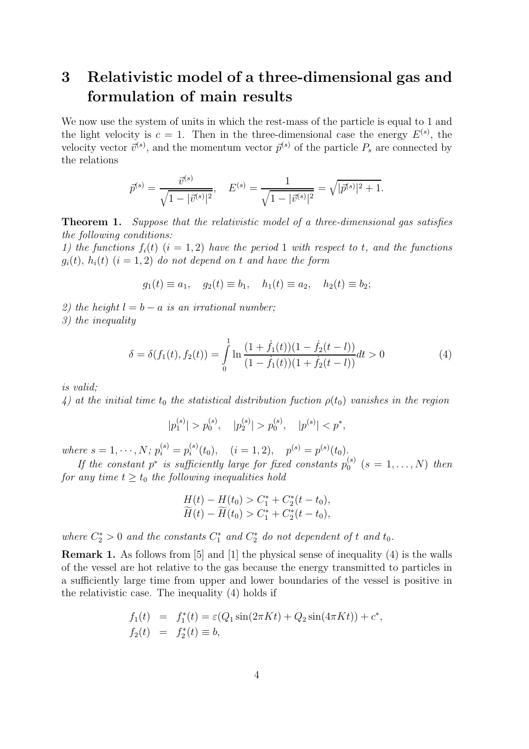## **3 Relativistic model of a three-dimensional gas and formulation of main results**

We now use the system of units in which the rest-mass of the particle is equal to 1 and the light velocity is  $c = 1$ . Then in the three-dimensional case the energy  $E^{(s)}$ , the velocity vector  $\vec{v}^{(s)}$ , and the momentum vector  $\vec{p}^{(s)}$  of the particle  $P_s$  are connected by the relations

$$
\bar{p}^{(s)} = \frac{\bar{v}^{(s)}}{\sqrt{1 - |\bar{v}^{(s)}|^2}}, \quad E^{(s)} = \frac{1}{\sqrt{1 - |\bar{v}^{(s)}|^2}} = \sqrt{|\bar{p}^{(s)}|^2 + 1}.
$$

**Theorem 1.** Suppose that the relativistic model of a three-dimensional gas satisfies the following conditions:

1) the functions  $f_i(t)$   $(i = 1, 2)$  have the period 1 with respect to t, and the functions  $g_i(t)$ ,  $h_i(t)$   $(i = 1, 2)$  do not depend on t and have the form

$$
g_1(t) \equiv a_1, \quad g_2(t) \equiv b_1, \quad h_1(t) \equiv a_2, \quad h_2(t) \equiv b_2;
$$

2) the height  $l = b - a$  is an irrational number;

3) the inequality

$$
\delta = \delta(f_1(t), f_2(t)) = \int_0^1 \ln \frac{(1 + \dot{f}_1(t))(1 - \dot{f}_2(t - l))}{(1 - \dot{f}_1(t))(1 + \dot{f}_2(t - l))} dt > 0
$$
\n(4)

is valid;

4) at the initial time  $t_0$  the statistical distribution fuction  $\rho(t_0)$  vanishes in the region

$$
|p_1^{(s)}| > p_0^{(s)}, \quad |p_2^{(s)}| > p_0^{(s)}, \quad |p^{(s)}| < p^*,
$$

where  $s = 1, \dots, N$ ;  $p_i^{(s)} = p_i^{(s)}(t_0), \quad (i = 1, 2), \quad p^{(s)} = p^{(s)}(t_0).$ 

If the constant  $p^*$  is sufficiently large for fixed constants  $p_0^{(s)}$  (s = 1, ..., N) then for any time  $t \geq t_0$  the following inequalities hold

$$
H(t) - H(t_0) > C_1^* + C_2^*(t - t_0),
$$
  
\n
$$
\widetilde{H}(t) - \widetilde{H}(t_0) > C_1^* + C_2^*(t - t_0),
$$

where  $C_2^* > 0$  and the constants  $C_1^*$  and  $C_2^*$  do not dependent of t and  $t_0$ .

**Remark 1.** As follows from [5] and [1] the physical sense of inequality (4) is the walls of the vessel are hot relative to the gas because the energy transmitted to particles in a sufficiently large time from upper and lower boundaries of the vessel is positive in the relativistic case. The inequality (4) holds if

$$
f_1(t) = f_1^*(t) = \varepsilon(Q_1 \sin(2\pi Kt) + Q_2 \sin(4\pi Kt)) + c^*,
$$
  
\n
$$
f_2(t) = f_2^*(t) \equiv b,
$$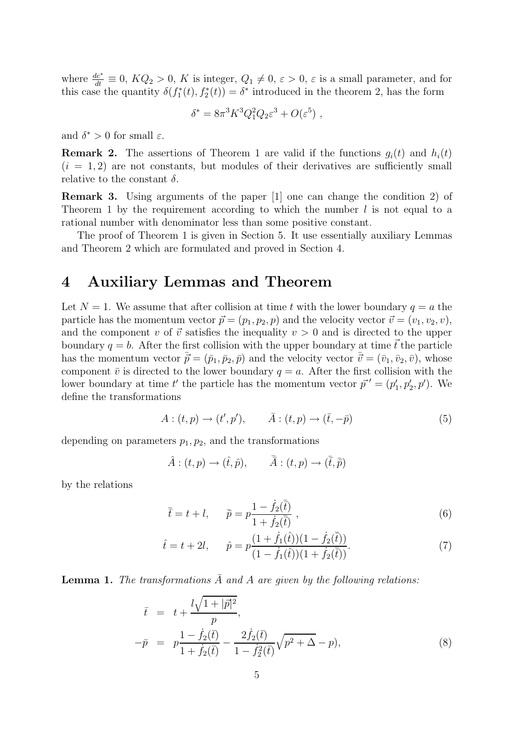where  $\frac{dc^*}{dt} \equiv 0$ ,  $KQ_2 > 0$ , K is integer,  $Q_1 \neq 0$ ,  $\varepsilon > 0$ ,  $\varepsilon$  is a small parameter, and for this case the quantity  $\delta(f_1^*(t), f_2^*(t)) = \delta^*$  introduced in the theorem 2, has the form

$$
\delta^* = 8\pi^3 K^3 Q_1^2 Q_2 \varepsilon^3 + O(\varepsilon^5) ,
$$

and  $\delta^* > 0$  for small  $\varepsilon$ .

**Remark 2.** The assertions of Theorem 1 are valid if the functions  $q_i(t)$  and  $h_i(t)$  $(i = 1, 2)$  are not constants, but modules of their derivatives are sufficiently small relative to the constant  $\delta$ .

**Remark 3.** Using arguments of the paper |1| one can change the condition 2) of Theorem 1 by the requirement according to which the number  $l$  is not equal to a rational number with denominator less than some positive constant.

The proof of Theorem 1 is given in Section 5. It use essentially auxiliary Lemmas and Theorem 2 which are formulated and proved in Section 4.

### **4 Auxiliary Lemmas and Theorem**

Let  $N = 1$ . We assume that after collision at time t with the lower boundary  $q = a$  the particle has the momentum vector  $\vec{p} = (p_1, p_2, p)$  and the velocity vector  $\vec{v} = (v_1, v_2, v)$ , and the component v of  $\vec{v}$  satisfies the inequality  $v > 0$  and is directed to the upper boundary  $q = b$ . After the first collision with the upper boundary at time  $\vec{t}$  the particle has the momentum vector  $\vec{\bar{p}} = (\bar{p}_1, \bar{p}_2, \bar{p})$  and the velocity vector  $\vec{\bar{v}} = (\bar{v}_1, \bar{v}_2, \bar{v})$ , whose component  $\bar{v}$  is directed to the lower boundary  $q = a$ . After the first collision with the lower boundary at time t' the particle has the momentum vector  $\vec{p}' = (p'_1, p'_2, p')$ . We define the transformations

$$
A: (t, p) \to (t', p'), \qquad \bar{A}: (t, p) \to (\bar{t}, -\bar{p})
$$
 (5)

depending on parameters  $p_1, p_2$ , and the transformations

$$
\hat{A} : (t, p) \to (\hat{t}, \hat{p}), \qquad \bar{\bar{A}} : (t, p) \to (\bar{\bar{t}}, \bar{\bar{p}})
$$

by the relations

$$
\bar{\bar{t}} = t + l, \qquad \bar{\bar{p}} = p \frac{1 - \dot{f}_2(\bar{t})}{1 + \dot{f}_2(\bar{t})} , \qquad (6)
$$

$$
\hat{t} = t + 2l, \qquad \hat{p} = p \frac{(1 + \dot{f}_1(\hat{t})) (1 - \dot{f}_2(\bar{t}))}{(1 - \dot{f}_1(\hat{t})) (1 + \dot{f}_2(\bar{t}))}.
$$
\n(7)

**Lemma 1.** The transformations  $\overline{A}$  and  $A$  are given by the following relations:

$$
\bar{t} = t + \frac{l\sqrt{1+|\vec{p}|^2}}{p},
$$
  
\n
$$
-\bar{p} = p\frac{1-\dot{f}_2(\bar{t})}{1+\dot{f}_2(\bar{t})} - \frac{2\dot{f}_2(\bar{t})}{1-\dot{f}_2^2(\bar{t})}\sqrt{p^2+\Delta}-p),
$$
\n(8)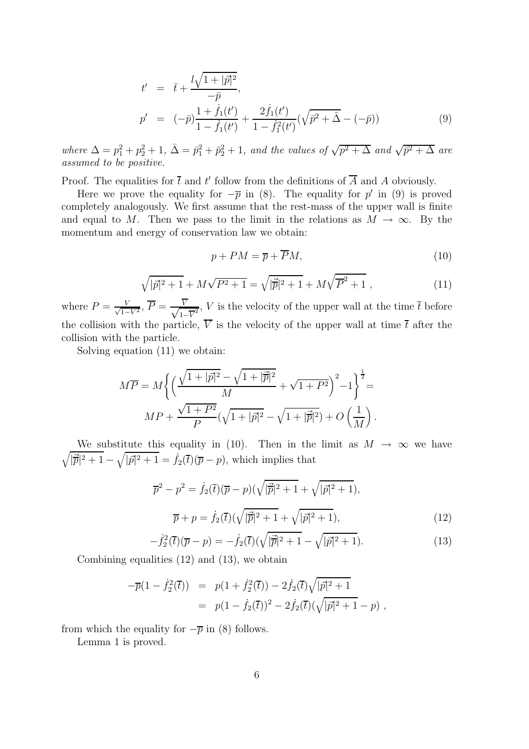$$
t' = \overline{t} + \frac{l\sqrt{1+|\vec{p}|^2}}{-\overline{p}},
$$
  
\n
$$
p' = (-\overline{p})\frac{1+\dot{f}_1(t')}{1-\dot{f}_1(t')} + \frac{2\dot{f}_1(t')}{1-\dot{f}_1(t')}(\sqrt{\overline{p}^2+\overline{\Delta}}-(-\overline{p}))
$$
\n(9)

where  $\Delta = p_1^2 + p_2^2 + 1$ ,  $\bar{\Delta} = \bar{p}_1^2 + \bar{p}_2^2 + 1$ , and the values of  $\sqrt{p^2 + \Delta}$  and  $\sqrt{\bar{p}^2 + \Delta}$  are assumed to be positive.

Proof. The equalities for  $\bar{t}$  and  $t'$  follow from the definitions of  $\bar{A}$  and A obviously.

Here we prove the equality for  $-\overline{p}$  in (8). The equality for p' in (9) is proved completely analogously. We first assume that the rest-mass of the upper wall is finite and equal to M. Then we pass to the limit in the relations as  $M \to \infty$ . By the momentum and energy of conservation law we obtain:

$$
p + PM = \overline{p} + \overline{P}M,\tag{10}
$$

$$
\sqrt{|\vec{p}|^2 + 1} + M\sqrt{P^2 + 1} = \sqrt{|\vec{p}|^2 + 1} + M\sqrt{P^2 + 1} ,\qquad (11)
$$

where  $P = \frac{V}{\sqrt{1-V^2}}$ ,  $\overline{P} = \frac{\overline{V}}{\sqrt{1-\overline{V}^2}}$ ,  $V$  is the velocity of the upper wall at the time  $\overline{t}$  before the collision with the particle,  $\overline{V}$  is the velocity of the upper wall at time  $\overline{t}$  after the collision with the particle.

Solving equation (11) we obtain:

$$
M\overline{P} = M \left\{ \left( \frac{\sqrt{1+|\vec{p}|^2} - \sqrt{1+|\vec{p}|^2}}{M} + \sqrt{1+P^2} \right)^2 - 1 \right\}^{\frac{1}{2}} = MP + \frac{\sqrt{1+P^2}}{P} (\sqrt{1+|\vec{p}|^2} - \sqrt{1+|\vec{p}|^2}) + O\left(\frac{1}{M}\right).
$$

 $\sqrt{|\vec{p}|^2+1}-\sqrt{|\vec{p}|^2+1}=f_2(\vec{t})(\overline{p}-p)$ , which implies that We substitute this equality in (10). Then in the limit as  $M \to \infty$  we have

$$
\overline{p}^2 - p^2 = \dot{f}_2(\overline{t})(\overline{p} - p)(\sqrt{|\overline{p}|^2 + 1} + \sqrt{|\overline{p}|^2 + 1}),
$$
  

$$
\overline{p} + p = \dot{f}_2(\overline{t})(\sqrt{|\overline{p}|^2 + 1} + \sqrt{|\overline{p}|^2 + 1}),
$$
 (12)

$$
- \dot{f}_2^2(\bar{t})(\bar{p} - p) = -\dot{f}_2(\bar{t})(\sqrt{|\vec{p}|^2 + 1} - \sqrt{|\vec{p}|^2 + 1}). \tag{13}
$$

Combining equalities (12) and (13), we obtain

$$
-\overline{p}(1-\dot{f}_2^2(\overline{t})) = p(1+\dot{f}_2^2(\overline{t})) - 2\dot{f}_2(\overline{t})\sqrt{|\vec{p}|^2+1}
$$
  
=  $p(1-\dot{f}_2(\overline{t}))^2 - 2\dot{f}_2(\overline{t})(\sqrt{|\vec{p}|^2+1}-p)$ ,

from which the equality for  $-\overline{p}$  in (8) follows.

Lemma 1 is proved.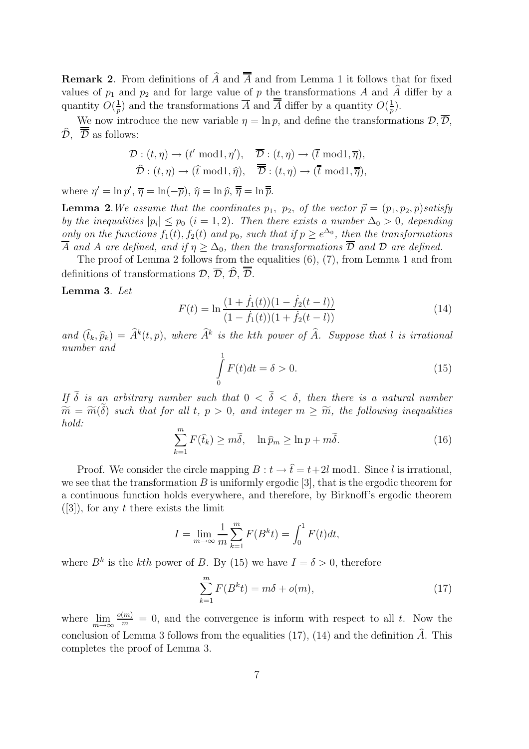**Remark 2.** From definitions of  $\widehat{A}$  and  $\overline{\overline{A}}$  and from Lemma 1 it follows that for fixed values of  $p_1$  and  $p_2$  and for large value of p the transformations A and A differ by a quantity  $O(\frac{1}{p})$  and the transformations  $\overline{A}$  and  $\overline{A}$  differ by a quantity  $O(\frac{1}{p})$ .

We now introduce the new variable  $\eta = \ln p$ , and define the transformations  $\mathcal{D}, \overline{\mathcal{D}},$  $\widehat{\mathcal{D}}$ ,  $\overline{\overline{\mathcal{D}}}$  as follows:

$$
\mathcal{D}: (t, \eta) \to (t' \mod 1, \eta'), \quad \overline{\mathcal{D}}: (t, \eta) \to (\overline{t} \mod 1, \overline{\eta}),
$$
  

$$
\widehat{\mathcal{D}}: (t, \eta) \to (\widehat{t} \mod 1, \widehat{\eta}), \quad \overline{\overline{\mathcal{D}}}: (t, \eta) \to (\overline{t} \mod 1, \overline{\overline{\eta}}),
$$

where  $\eta' = \ln p', \overline{\eta} = \ln(-\overline{p}), \hat{\eta} = \ln \widehat{p}, \overline{\overline{\eta}} = \ln \overline{\overline{p}}.$ 

**Lemma 2**. We assume that the coordinates  $p_1$ ,  $p_2$ , of the vector  $\vec{p} = (p_1, p_2, p)$  satisfy by the inequalities  $|p_i| \leq p_0$   $(i = 1, 2)$ . Then there exists a number  $\Delta_0 > 0$ , depending only on the functions  $f_1(t)$ ,  $f_2(t)$  and  $p_0$ , such that if  $p \geq e^{\Delta_0}$ , then the transformations  $\overline{A}$  and A are defined, and if  $\eta \geq \Delta_0$ , then the transformations  $\overline{\mathcal{D}}$  and  $\mathcal{D}$  are defined.

The proof of Lemma 2 follows from the equalities (6), (7), from Lemma 1 and from definitions of transformations  $\mathcal{D}, \overline{\mathcal{D}}, \overline{\mathcal{D}}, \overline{\mathcal{D}}$ .

**Lemma 3**. Let

$$
F(t) = \ln \frac{(1 + \dot{f}_1(t))(1 - \dot{f}_2(t - l))}{(1 - \dot{f}_1(t))(1 + \dot{f}_2(t - l))}
$$
(14)

and  $(\hat{t}_k, \hat{p}_k) = \hat{A}^k(t, p)$ , where  $\hat{A}^k$  is the kth power of  $\hat{A}$ . Suppose that l is irrational number and

$$
\int_{0}^{1} F(t)dt = \delta > 0.
$$
\n(15)

If  $\tilde{\delta}$  is an arbitrary number such that  $0 < \tilde{\delta} < \delta$ , then there is a natural number  $\widetilde{m} = \widetilde{m}(\delta)$  such that for all t,  $p > 0$ , and integer  $m \geq \widetilde{m}$ , the following inequalities hold:

$$
\sum_{k=1}^{m} F(\hat{t}_k) \ge m\tilde{\delta}, \quad \ln \hat{p}_m \ge \ln p + m\tilde{\delta}.
$$
 (16)

Proof. We consider the circle mapping  $B : t \to \hat{t} = t + 2l \text{ mod } 1$ . Since l is irrational, we see that the transformation  $B$  is uniformly ergodic [3], that is the ergodic theorem for a continuous function holds everywhere, and therefore, by Birknoff's ergodic theorem  $([3])$ , for any t there exists the limit

$$
I = \lim_{m \to \infty} \frac{1}{m} \sum_{k=1}^{m} F(B^k t) = \int_0^1 F(t) dt,
$$

where  $B^k$  is the kth power of B. By (15) we have  $I = \delta > 0$ , therefore

$$
\sum_{k=1}^{m} F(B^k t) = m\delta + o(m),\tag{17}
$$

where  $\lim_{m\to\infty} \frac{o(m)}{m} = 0$ , and the convergence is inform with respect to all t. Now the conclusion of Lemma 3 follows from the equalities (17), (14) and the definition  $\hat{A}$ . This completes the proof of Lemma 3.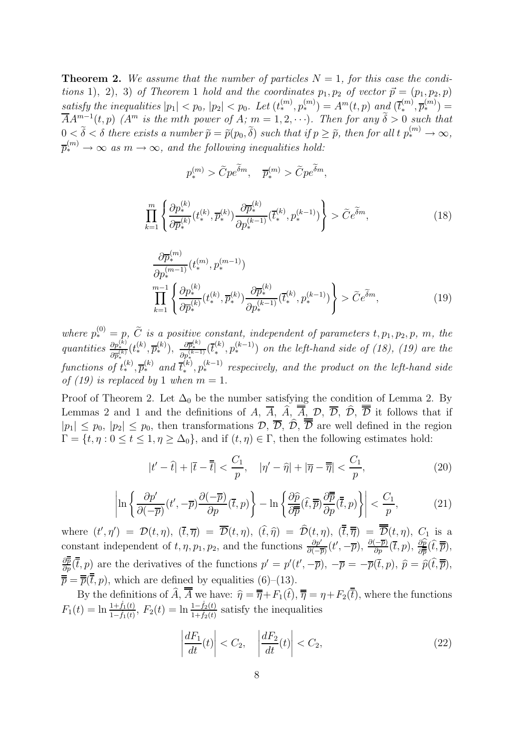**Theorem 2.** We assume that the number of particles  $N = 1$ , for this case the conditions 1), 2), 3) of Theorem 1 hold and the coordinates  $p_1, p_2$  of vector  $\vec{p} = (p_1, p_2, p)$ satisfy the inequalities  $|p_1| < p_0$ ,  $|p_2| < p_0$ . Let  $(t_*^{(m)}, p_*^{(m)}) = A^m(t,p)$  and  $(\overline{t}_*^{(m)}, \overline{p_*^{(m)}}) = \overline{A^m(t,p)}$  $\overline{A}A^{m-1}(t, p)$  ( $A^m$  is the mth power of A;  $m = 1, 2, \cdots$ ). Then for any  $\tilde{\delta} > 0$  such that  $0 < \tilde{\delta} < \delta$  there exists a number  $\tilde{p} = \tilde{p}(p_0, \tilde{\delta})$  such that if  $p \geq \tilde{p}$ , then for all t  $p_*^{(m)} \to \infty$ ,  $\overline{p}_{*}^{(m)} \rightarrow \infty$  as  $m \rightarrow \infty$ , and the following inequalities hold:

$$
p_*^{(m)} > \tilde{C}p\tilde{e}^{\tilde{\delta}m}, \quad \overline{p}_*^{(m)} > \tilde{C}p\tilde{e}^{\tilde{\delta}m},
$$

$$
\prod_{k=1}^{m} \left\{ \frac{\partial p_*^{(k)}}{\partial \overline{p}_*^{(k)}} (t_*^{(k)}, \overline{p}_*^{(k)}) \frac{\partial \overline{p}_*^{(k)}}{\partial p_*^{(k-1)}} (\overline{t}_*^{(k)}, p_*^{(k-1)}) \right\} > \tilde{C} e^{\tilde{\delta} m},\tag{18}
$$

$$
\frac{\partial \overline{p}_{*}^{(m)}}{\partial p_{*}^{(m-1)}}(t_{*}^{(m)}, p_{*}^{(m-1)})
$$
\n
$$
\prod_{k=1}^{m-1} \left\{ \frac{\partial p_{*}^{(k)}}{\partial \overline{p}_{*}^{(k)}}(t_{*}^{(k)}, \overline{p}_{*}^{(k)}) \frac{\partial \overline{p}_{*}^{(k)}}{\partial p_{*}^{(k-1)}}(\overline{t}_{*}^{(k)}, p_{*}^{(k-1)}) \right\} > \widetilde{C}e^{\widetilde{\delta}m},
$$
\n(19)

where  $p_*^{(0)} = p, \tilde{C}$  is a positive constant, independent of parameters  $t, p_1, p_2, p, m$ , the  $quantities \frac{\partial p_*^{(k)}}{\partial \overline{p}_*^{(k)}}$  $(t^{(k)}_*, \overline{p}^{(k)}_*)$ ,  $\frac{\partial \overline{p}^{(k)}_*}{\partial p^{(k-1)}_*}(\overline{t}^{(k)}_*, p^{(k-1)}_*)$  on the left-hand side of (18), (19) are the functions of  $t_*^{(k)}, \overline{p}_*^{(k)}$  and  $\overline{t}_*^{(k)}, p_*^{(k-1)}$  respecively, and the product on the left-hand side of (19) is replaced by 1 when  $m = 1$ .

Proof of Theorem 2. Let  $\Delta_0$  be the number satisfying the condition of Lemma 2. By Lemmas 2 and 1 and the definitions of A,  $\overline{A}$ ,  $\overline{A}$ ,  $\overline{A}$ ,  $\overline{D}$ ,  $\overline{D}$ ,  $\overline{D}$ ,  $\overline{D}$  it follows that if  $|p_1| \leq p_0$ ,  $|p_2| \leq p_0$ , then transformations  $\mathcal{D}, \overline{\mathcal{D}}, \overline{\mathcal{D}}, \overline{\overline{\mathcal{D}}}$  are well defined in the region  $\Gamma = \{t, \eta : 0 \le t \le 1, \eta \ge \Delta_0\}$ , and if  $(t, \eta) \in \Gamma$ , then the following estimates hold:

$$
|t'-\hat{t}| + |\bar{t}-\overline{\bar{t}}| < \frac{C_1}{p}, \quad |\eta'-\hat{\eta}| + |\overline{\eta}-\overline{\overline{\eta}}| < \frac{C_1}{p},\tag{20}
$$

$$
\left| \ln \left\{ \frac{\partial p'}{\partial (-\overline{p})} (t', -\overline{p}) \frac{\partial (-\overline{p})}{\partial p} (\overline{t}, p) \right\} - \ln \left\{ \frac{\partial \widehat{p}}{\partial \overline{p}} (\widehat{t}, \overline{p}) \frac{\partial \overline{p}}{\partial p} (\overline{t}, p) \right\} \right| < \frac{C_1}{p},\tag{21}
$$

where  $(t', \eta') = \mathcal{D}(t, \eta)$ ,  $(\overline{t}, \overline{\eta}) = \overline{\mathcal{D}}(t, \eta)$ ,  $(\overline{t}, \widehat{\eta}) = \mathcal{D}(t, \eta)$ ,  $(\overline{t}, \overline{\overline{\eta}}) = \overline{\mathcal{D}}(t, \eta)$ ,  $C_1$  is a constant independent of  $t, \eta, p_1, p_2$ , and the functions  $\frac{\partial p'}{\partial(-\overline{p})}(t', -\overline{p})$ ,  $\frac{\partial (-\overline{p})}{\partial p}(\overline{t}, p)$ ,  $\frac{\partial \widehat{p}}{\partial \overline{p}}(\widehat{t}, \overline{\overline{p}})$ ,  $\frac{\partial \overline{\overline{p}}}{\partial p}(\overline{\overline{t}},p)$  are the derivatives of the functions  $p' = p'(t', -\overline{p}), -\overline{p} = -\overline{p}(\overline{t},p), \ \hat{p} = \hat{p}(\widehat{t},\overline{\overline{p}}),$  $\overline{\overline{p}} = \overline{\overline{p}}(\overline{\overline{t}}, p)$ , which are defined by equalities (6)–(13).

By the definitions of  $\widehat{A}$ ,  $\overline{A}$  we have:  $\widehat{\eta} = \overline{\overline{\eta}} + F_1(\widehat{t}), \overline{\overline{\eta}} = \eta + F_2(\overline{t})$ , where the functions  $F_1(t) = \ln \frac{1 + \dot{f}_1(t)}{1 - \dot{f}_1(t)}$ ,  $F_2(t) = \ln \frac{1 - \dot{f}_2(t)}{1 + \dot{f}_2(t)}$  satisfy the inequalities

$$
\left|\frac{dF_1}{dt}(t)\right| < C_2, \quad \left|\frac{dF_2}{dt}(t)\right| < C_2,\tag{22}
$$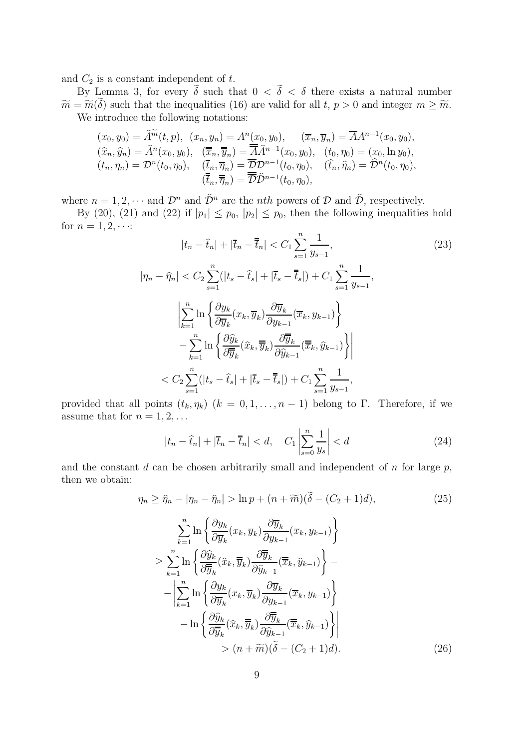and  $C_2$  is a constant independent of  $t$ .

By Lemma 3, for every  $\tilde{\delta}$  such that  $0 < \tilde{\delta} < \delta$  there exists a natural number  $\widetilde{m} = \widetilde{m}(\delta)$  such that the inequalities (16) are valid for all t,  $p > 0$  and integer  $m \geq \widetilde{m}$ . We introduce the following notations:

$$
(x_0, y_0) = \hat{A}^{\widetilde{m}}(t, p), (x_n, y_n) = A^n(x_0, y_0), (\overline{x}_n, \overline{y}_n) = \overline{A}A^{n-1}(x_0, y_0),
$$
  
\n
$$
(\widehat{x}_n, \widehat{y}_n) = \hat{A}^n(x_0, y_0), (\overline{\overline{x}}_n, \overline{\overline{y}}_n) = \overline{\overline{A}}\hat{A}^{n-1}(x_0, y_0), (t_0, \eta_0) = (x_0, \ln y_0),
$$
  
\n
$$
(t_n, \eta_n) = \mathcal{D}^n(t_0, \eta_0), (\overline{t}_n, \overline{\eta}_n) = \overline{\mathcal{D}}\mathcal{D}^{n-1}(t_0, \eta_0), (\widehat{t}_n, \widehat{\eta}_n) = \widehat{\mathcal{D}}^n(t_0, \eta_0),
$$
  
\n
$$
(\overline{\overline{t}}_n, \overline{\overline{\eta}}_n) = \overline{\mathcal{D}}\hat{\mathcal{D}}^{n-1}(t_0, \eta_0),
$$

where  $n = 1, 2, \dots$  and  $\mathcal{D}^n$  and  $\widehat{\mathcal{D}}^n$  are the *nth* powers of  $\mathcal D$  and  $\widehat{\mathcal{D}}$ , respectively.

By (20), (21) and (22) if  $|p_1| \leq p_0$ ,  $|p_2| \leq p_0$ , then the following inequalities hold for  $n = 1, 2, \cdots$ : n 1

$$
|t_n - \hat{t}_n| + |\bar{t}_n - \bar{t}_n| < C_1 \sum_{s=1}^n \frac{1}{y_{s-1}},
$$
\n
$$
|\eta_n - \hat{\eta}_n| < C_2 \sum_{s=1}^n (|t_s - \hat{t}_s| + |\bar{t}_s - \bar{t}_s|) + C_1 \sum_{s=1}^n \frac{1}{y_{s-1}},
$$
\n
$$
\left| \sum_{k=1}^n \ln \left\{ \frac{\partial y_k}{\partial \overline{y}_k} (x_k, \overline{y}_k) \frac{\partial \overline{y}_k}{\partial y_{k-1}} (\overline{x}_k, y_{k-1}) \right\} - \sum_{k=1}^n \ln \left\{ \frac{\partial \hat{y}_k}{\partial \overline{y}_k} (\hat{x}_k, \overline{\overline{y}}_k) \frac{\partial \overline{y}_k}{\partial \hat{y}_{k-1}} (\overline{x}_k, \hat{y}_{k-1}) \right\} \right|
$$
\n
$$
\leq C_2 \sum_{s=1}^n (|t_s - \hat{t}_s| + |\overline{t}_s - \overline{t}_s|) + C_1 \sum_{s=1}^n \frac{1}{y_{s-1}},
$$
\n(23)

provided that all points  $(t_k, \eta_k)$   $(k = 0, 1, \ldots, n-1)$  belong to Γ. Therefore, if we assume that for  $n = 1, 2, \ldots$ 

$$
|t_n - \hat{t}_n| + |\overline{t}_n - \overline{t}_n| < d, \quad C_1 \left| \sum_{s=0}^n \frac{1}{y_s} \right| < d \tag{24}
$$

and the constant  $d$  can be chosen arbitrarily small and independent of  $n$  for large  $p$ , then we obtain:

$$
\eta_n \geq \hat{\eta}_n - |\eta_n - \hat{\eta}_n| > \ln p + (n + \widetilde{m})(\delta - (C_2 + 1)d),
$$
\n
$$
\sum_{k=1}^n \ln \left\{ \frac{\partial y_k}{\partial \overline{y}_k} (x_k, \overline{y}_k) \frac{\partial \overline{y}_k}{\partial y_{k-1}} (\overline{x}_k, y_{k-1}) \right\}
$$
\n
$$
\geq \sum_{k=1}^n \ln \left\{ \frac{\partial \hat{y}_k}{\partial \overline{y}_k} (\hat{x}_k, \overline{y}_k) \frac{\partial \overline{y}_k}{\partial \hat{y}_{k-1}} (\overline{x}_k, \hat{y}_{k-1}) \right\} - \left| \sum_{k=1}^n \ln \left\{ \frac{\partial y_k}{\partial \overline{y}_k} (x_k, \overline{y}_k) \frac{\partial \overline{y}_k}{\partial y_{k-1}} (\overline{x}_k, y_{k-1}) \right\} - \ln \left\{ \frac{\partial \hat{y}_k}{\partial \overline{y}_k} (\hat{x}_k, \overline{\overline{y}}_k) \frac{\partial \overline{y}_k}{\partial \hat{y}_{k-1}} (\overline{x}_k, \hat{y}_{k-1}) \right\} \right|
$$
\n
$$
> (n + \widetilde{m})(\widetilde{\delta} - (C_2 + 1)d).
$$
\n(26)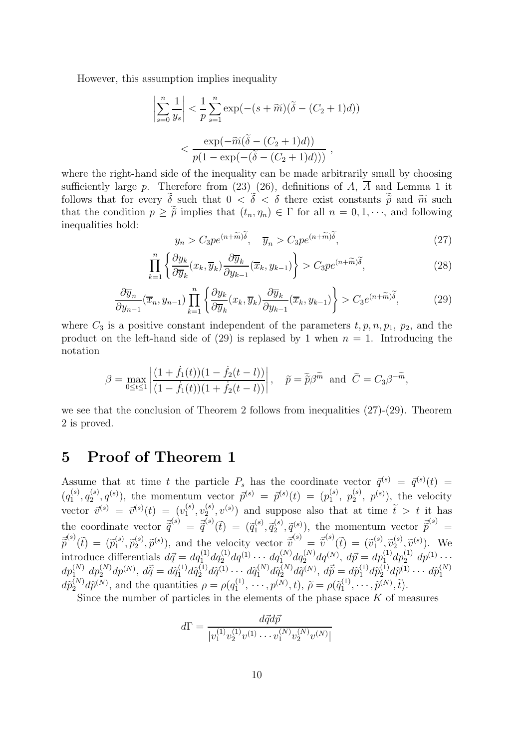However, this assumption implies inequality

$$
\left|\sum_{s=0}^{n} \frac{1}{y_s}\right| < \frac{1}{p} \sum_{s=1}^{n} \exp(-(s+\widetilde{m})(\widetilde{\delta}-(C_2+1)d))
$$
\n
$$
\left| \frac{\exp(-\widetilde{m}(\widetilde{\delta}-(C_2+1)d))}{p(1-\exp(-(\widetilde{\delta}-(C_2+1)d)))}, \right|
$$

where the right-hand side of the inequality can be made arbitrarily small by choosing sufficiently large p. Therefore from  $(23)-(26)$ , definitions of A,  $\overline{A}$  and Lemma 1 it follows that for every  $\delta$  such that  $0 < \delta < \delta$  there exist constants  $\tilde{p}$  and  $\tilde{m}$  such that the condition  $p \geq \tilde{p}$  implies that  $(t_n, \eta_n) \in \Gamma$  for all  $n = 0, 1, \dots$ , and following inequalities hold:

$$
y_n > C_3 p e^{(n+\widetilde{m})\widetilde{\delta}}, \quad \overline{y}_n > C_3 p e^{(n+\widetilde{m})\widetilde{\delta}}, \tag{27}
$$

$$
\prod_{k=1}^{n} \left\{ \frac{\partial y_k}{\partial \overline{y}_k} (x_k, \overline{y}_k) \frac{\partial \overline{y}_k}{\partial y_{k-1}} (\overline{x}_k, y_{k-1}) \right\} > C_3 p e^{(n+\widetilde{m})\widetilde{\delta}},\tag{28}
$$

$$
\frac{\partial \overline{y}_n}{\partial y_{n-1}}(\overline{x}_n, y_{n-1}) \prod_{k=1}^n \left\{ \frac{\partial y_k}{\partial \overline{y}_k}(x_k, \overline{y}_k) \frac{\partial \overline{y}_k}{\partial y_{k-1}}(\overline{x}_k, y_{k-1}) \right\} > C_3 e^{(n+\widetilde{m})\widetilde{\delta}},\tag{29}
$$

where  $C_3$  is a positive constant independent of the parameters  $t, p, n, p_1, p_2$ , and the product on the left-hand side of (29) is replased by 1 when  $n = 1$ . Introducing the notation

$$
\beta = \max_{0 \le t \le 1} \left| \frac{(1+\dot{f}_1(t))(1-\dot{f}_2(t-l))}{(1-\dot{f}_1(t))(1+\dot{f}_2(t-l))} \right|, \quad \tilde{p} = \tilde{\tilde{p}}\beta^{\tilde{m}} \text{ and } \tilde{C} = C_3 \beta^{-\tilde{m}},
$$

we see that the conclusion of Theorem 2 follows from inequalities (27)-(29). Theorem 2 is proved.

### **5 Proof of Theorem 1**

Assume that at time t the particle  $P_s$  has the coordinate vector  $\vec{q}^{(s)} = \vec{q}^{(s)}(t)$  $(q_1^{(s)}, q_2^{(s)}, q^{(s)})$ , the momentum vector  $\bar{p}^{(s)} = \bar{p}^{(s)}(t) = (p_1^{(s)}, p_2^{(s)}, p^{(s)})$ , the velocity vector  $\vec{v}^{(s)} = \vec{v}^{(s)}(t) = (v_1^{(s)}, v_2^{(s)}, v^{(s)})$  and suppose also that at time  $\tilde{t} > t$  it has the coordinate vector  $\vec{\tilde{q}}^{(s)} = \vec{\tilde{q}}^{(s)}(\tilde{t}) = (\tilde{q}_1^{(s)}, \tilde{q}_2^{(s)}, \tilde{q}_3^{(s)})$ , the momentum vector  $\vec{\tilde{p}}^{(s)} =$  $\vec{\tilde{p}}^{(s)}(\tilde{t})=(\tilde{p}_1^{(s)},\tilde{p}_2^{(s)},\tilde{p}^{(s)}),$  and the velocity vector  $\vec{\tilde{v}}$  $\begin{pmatrix} (s) \end{pmatrix} = \vec{\tilde{v}}$  $\widetilde{v}^{(s)}(\tilde{t}) = (\tilde{v}^{(s)}_1, \tilde{v}^{(s)}_2, \tilde{v}^{(s)}_3).$  We introduce differentials  $d\vec{q} = dq_1^{(1)} dq_2^{(1)} dq_1^{(1)} \cdots dq_1^{(N)} dq_2^{(N)} dq_2^{(N)}$ ,  $d\vec{p} = dp_1^{(1)} dp_2^{(1)} dp_1^{(1)} \cdots$  $dp_{1}^{(N)}\ dp_{2}^{(N)}dp_{1}^{(N)},\ d\vec{\tilde{q}}=d\tilde{q}_{1}^{(1)}d\tilde{q}_{2}^{(1)}d\tilde{\tilde{q}}^{(1)}\cdots d\tilde{q}_{1}^{(N)}d\tilde{\tilde{q}}^{(N)}_{2}d\tilde{\tilde{q}}^{(N)},\ d\vec{\tilde{p}}=d\tilde{p}_{1}^{(1)}d\tilde{p}_{2}^{(1)}d\tilde{\tilde{p}}^{(1)}\cdots d\tilde{p}_{1}^{(N)}$ 1  $d\tilde{p}_2^{(N)}d\tilde{p}^{(N)}$ , and the quantities  $\rho = \rho(q_1^{(1)}, \dots, p^{(N)}, t)$ ,  $\tilde{\rho} = \rho(\tilde{q}_1^{(1)}, \dots, \tilde{p}^{(N)}, t)$ .

Since the number of particles in the elements of the phase space  $K$  of measures

$$
d\Gamma = \frac{d\vec{q}d\vec{p}}{|v_1^{(1)}v_2^{(1)}v_1^{(1)}\cdots v_1^{(N)}v_2^{(N)}v_1^{(N)}|}
$$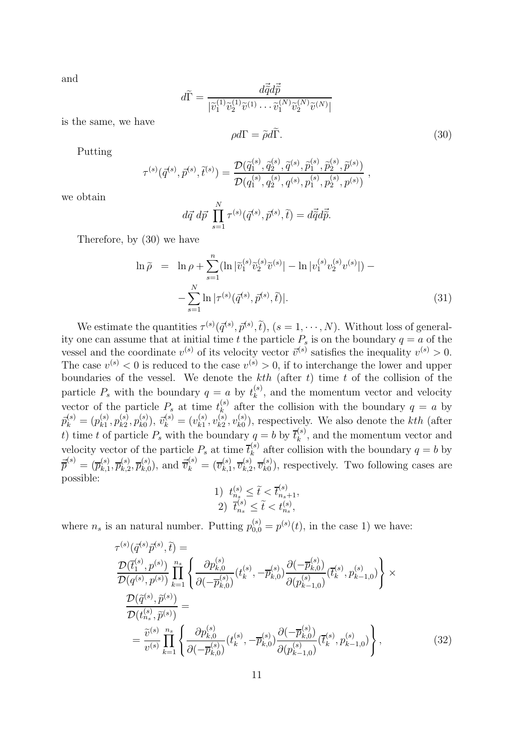and

$$
d\widetilde{\Gamma} = \frac{d\vec{\widetilde{q}}d\vec{\widetilde{p}}}{|\widetilde{v}_1^{(1)}\widetilde{v}_2^{(1)}\widetilde{v}^{(1)}\cdots\widetilde{v}_1^{(N)}\widetilde{v}_2^{(N)}\widetilde{v}^{(N)}|}
$$

is the same, we have

$$
\rho d\Gamma = \tilde{\rho} d\tilde{\Gamma}.
$$
\n(30)

Putting

$$
\tau^{(s)}(\bar{q}^{(s)},\bar{p}^{(s)},\tilde{t}^{(s)})=\frac{\mathcal{D}(\tilde{q}^{(s)}_1,\tilde{q}^{(s)}_2,\tilde{q}^{(s)},\tilde{p}^{(s)}_1,\tilde{p}^{(s)}_2,\tilde{p}^{(s)})}{\mathcal{D}(q^{(s)}_1,q^{(s)}_2,q^{(s)},p^{(s)}_1,p^{(s)}_2,p^{(s)})}\;,
$$

we obtain

$$
d\vec{q} \, d\vec{p} \, \prod_{s=1}^{N} \tau^{(s)}(\vec{q}^{(s)}, \vec{p}^{(s)}, \tilde{t}) = d\vec{\tilde{q}} d\vec{\tilde{p}}.
$$

Therefore, by (30) we have

$$
\ln \tilde{\rho} = \ln \rho + \sum_{s=1}^{n} (\ln |\tilde{v}_{1}^{(s)} \tilde{v}_{2}^{(s)} \tilde{v}^{(s)}| - \ln |v_{1}^{(s)} v_{2}^{(s)} v^{(s)}|) - \sum_{s=1}^{N} \ln |\tau^{(s)}(\vec{q}^{(s)}, \vec{p}^{(s)}, \tilde{t})|.
$$
\n(31)

We estimate the quantities  $\tau^{(s)}(\bar{q}^{(s)}, \bar{p}^{(s)}, \tilde{t}), (s = 1, \cdots, N)$ . Without loss of generality one can assume that at initial time t the particle  $P_s$  is on the boundary  $q = a$  of the vessel and the coordinate  $v^{(s)}$  of its velocity vector  $\vec{v}^{(s)}$  satisfies the inequality  $v^{(s)} > 0$ . The case  $v^{(s)} < 0$  is reduced to the case  $v^{(s)} > 0$ , if to interchange the lower and upper boundaries of the vessel. We denote the  $kth$  (after t) time t of the collision of the particle  $P_s$  with the boundary  $q = a$  by  $t_k^{(s)}$ , and the momentum vector and velocity vector of the particle  $P_s$  at time  $t_k^{(s)}$  after the collision with the boundary  $q = a$  by  $\bar{p}_{k}^{(s)} = (p_{k1}^{(s)}, p_{k2}^{(s)}, p_{k0}^{(s)})$ ,  $\bar{v}_{k}^{(s)} = (v_{k1}^{(s)}, v_{k2}^{(s)}, v_{k0}^{(s)})$ , respectively. We also denote the kth (after t) time t of particle  $P_s$  with the boundary  $q = b$  by  $\bar{t}_k^{(s)}$ , and the momentum vector and velocity vector of the particle  $P_s$  at time  $\overline{t}_k^{(s)}$  after collision with the boundary  $q = b$  by  $\vec{\overline{p}}^{(s)} = (\overline{p}_{k,1}^{(s)}, \overline{p}_{k,2}^{(s)}, \overline{p}_{k,0}^{(s)})$ , and  $\vec{\overline{v}}_k^{(s)} = (\overline{v}_{k,1}^{(s)}, \overline{v}_{k,2}^{(s)}, \overline{v}_{k0}^{(s)})$ , respectively. Two following cases are possible: (s)

1) 
$$
t_{n_s}^{(s)} \leq \tilde{t} < \bar{t}_{n_s+1}^{(s)},
$$
  
2)  $\bar{t}_{n_s}^{(s)} \leq \tilde{t} < t_{n_s}^{(s)},$ 

where  $n_s$  is an natural number. Putting  $p_{0,0}^{(s)} = p^{(s)}(t)$ , in the case 1) we have:

$$
\tau^{(s)}(\bar{q}^{(s)}\bar{p}^{(s)},\tilde{t}) = \frac{\mathcal{D}(\bar{t}_{1}^{(s)},p^{(s)})}{\mathcal{D}(q^{(s)},p^{(s)})}\prod_{k=1}^{n_{s}}\left\{\frac{\partial p_{k,0}^{(s)}}{\partial(-\bar{p}_{k,0}^{(s)})}(t_{k}^{(s)},-\bar{p}_{k,0}^{(s)})\frac{\partial(-\bar{p}_{k,0}^{(s)})}{\partial(p_{k-1,0}^{(s)})}(t_{k}^{(s)},p_{k-1,0}^{(s)})\right\} \times \frac{\mathcal{D}(\tilde{q}^{(s)},\tilde{p}^{(s)})}{\mathcal{D}(t_{n_{s}}^{(s)},\tilde{p}^{(s)})} = \frac{\tilde{v}^{(s)}}{v^{(s)}}\prod_{k=1}^{n_{s}}\left\{\frac{\partial p_{k,0}^{(s)}}{\partial(-\bar{p}_{k,0}^{(s)})}(t_{k}^{(s)},-\bar{p}_{k,0}^{(s)})\frac{\partial(-\bar{p}_{k,0}^{(s)})}{\partial(p_{k-1,0}^{(s)})}(t_{k}^{(s)},p_{k-1,0}^{(s)})\right\},\tag{32}
$$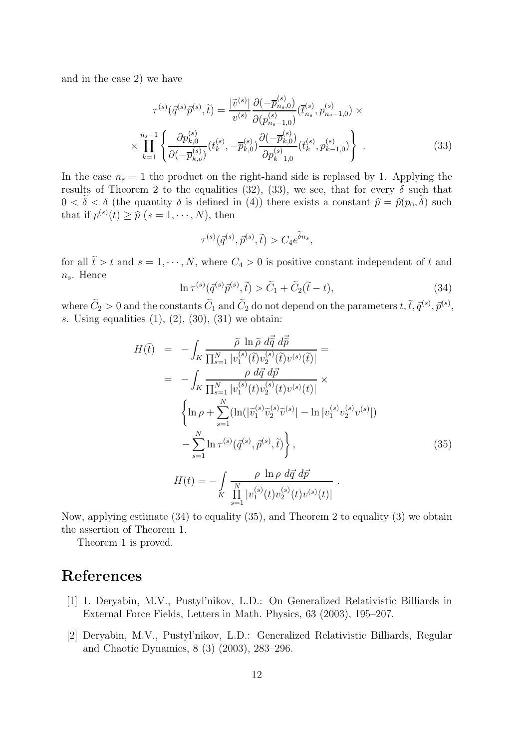and in the case 2) we have

$$
\tau^{(s)}(\bar{q}^{(s)}\bar{p}^{(s)},\tilde{t}) = \frac{|\tilde{v}^{(s)}|}{v^{(s)}} \frac{\partial(-\overline{p}_{n_s,0}^{(s)})}{\partial(p_{n_s-1,0}^{(s)})} (\overline{t}_{n_s}^{(s)}, p_{n_s-1,0}^{(s)}) \times \times \prod_{k=1}^{n_s-1} \left\{ \frac{\partial p_{k,0}^{(s)}}{\partial(-\overline{p}_{k,0}^{(s)})} (t_k^{(s)}, -\overline{p}_{k,0}^{(s)}) \frac{\partial(-\overline{p}_{k,0}^{(s)})}{\partial p_{k-1,0}^{(s)}} (\overline{t}_k^{(s)}, p_{k-1,0}^{(s)}) \right\} .
$$
\n(33)

In the case  $n_s = 1$  the product on the right-hand side is replased by 1. Applying the results of Theorem 2 to the equalities (32), (33), we see, that for every  $\tilde{\delta}$  such that  $0 < \tilde{\delta} < \delta$  (the quantity  $\delta$  is defined in (4)) there exists a constant  $\hat{p} = \hat{p}(p_0, \tilde{\delta})$  such that if  $p^{(s)}(t) \geq \hat{p}$   $(s = 1, \dots, N)$ , then

$$
\tau^{(s)}(\bar{q}^{(s)},\bar{p}^{(s)},\tilde{t})>C_{4}e^{\widetilde{\delta}n_{s}},
$$

for all  $\tilde{t} > t$  and  $s = 1, \dots, N$ , where  $C_4 > 0$  is positive constant independent of t and  $n<sub>s</sub>$ . Hence

$$
\ln \tau^{(s)}(\vec{q}^{(s)}\vec{p}^{(s)},\tilde{t}) > \tilde{C}_1 + \tilde{C}_2(\tilde{t}-t),\tag{34}
$$

where  $\tilde{C}_2 > 0$  and the constants  $\tilde{C}_1$  and  $\tilde{C}_2$  do not depend on the parameters  $t, \tilde{t}, \bar{q}^{(s)}, \bar{p}^{(s)},$ s. Using equalities  $(1), (2), (30), (31)$  we obtain:

$$
H(\tilde{t}) = -\int_{K} \frac{\tilde{\rho} \ln \tilde{\rho} d\vec{q} d\vec{p}}{\prod_{s=1}^{N} |v_{1}^{(s)}(\tilde{t})v_{2}^{(s)}(\tilde{t})v^{(s)}(\tilde{t})|} =
$$
  
\n
$$
= -\int_{K} \frac{\rho d\vec{q} d\vec{p}}{\prod_{s=1}^{N} |v_{1}^{(s)}(t)v_{2}^{(s)}(t)v^{(s)}(t)|} \times \left\{ \ln \rho + \sum_{s=1}^{N} (\ln(|\tilde{v}_{1}^{(s)}\tilde{v}_{2}^{(s)}\tilde{v}^{(s)}| - \ln|v_{1}^{(s)}v_{2}^{(s)}v^{(s)}|)) - \sum_{s=1}^{N} \ln \tau^{(s)}(\vec{q}^{(s)}, \vec{p}^{(s)}, \tilde{t}) \right\}, \qquad (35)
$$
  
\n
$$
H(t) = -\int_{K} \frac{\rho \ln \rho d\vec{q} d\vec{p}}{\prod_{s=1}^{N} |v_{1}^{(s)}(t)v_{2}^{(s)}(t)v^{(s)}(t)|}.
$$

Now, applying estimate (34) to equality (35), and Theorem 2 to equality (3) we obtain the assertion of Theorem 1.

Theorem 1 is proved.

### **References**

- [1] 1. Deryabin, M.V., Pustyl'nikov, L.D.: On Generalized Relativistic Billiards in External Force Fields, Letters in Math. Physics, 63 (2003), 195–207.
- [2] Deryabin, M.V., Pustyl'nikov, L.D.: Generalized Relativistic Billiards, Regular and Chaotic Dynamics, 8 (3) (2003), 283–296.